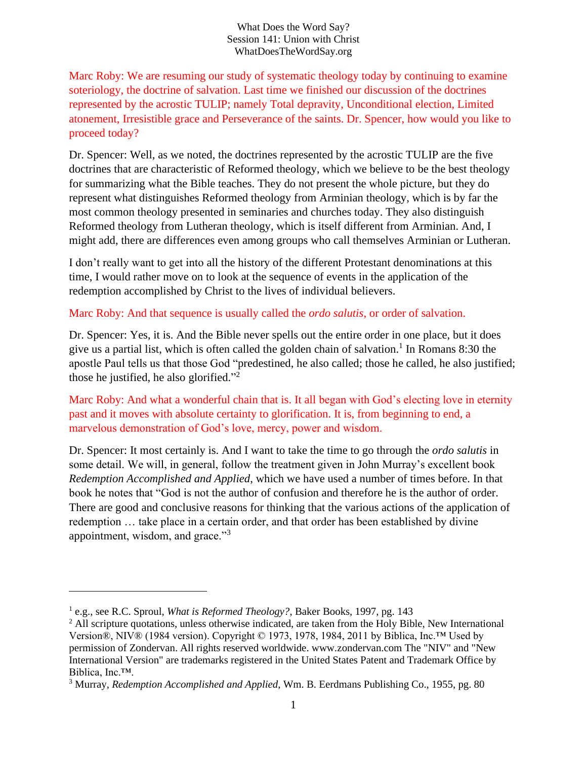#### What Does the Word Say? Session 141: Union with Christ WhatDoesTheWordSay.org

Marc Roby: We are resuming our study of systematic theology today by continuing to examine soteriology, the doctrine of salvation. Last time we finished our discussion of the doctrines represented by the acrostic TULIP; namely Total depravity, Unconditional election, Limited atonement, Irresistible grace and Perseverance of the saints. Dr. Spencer, how would you like to proceed today?

Dr. Spencer: Well, as we noted, the doctrines represented by the acrostic TULIP are the five doctrines that are characteristic of Reformed theology, which we believe to be the best theology for summarizing what the Bible teaches. They do not present the whole picture, but they do represent what distinguishes Reformed theology from Arminian theology, which is by far the most common theology presented in seminaries and churches today. They also distinguish Reformed theology from Lutheran theology, which is itself different from Arminian. And, I might add, there are differences even among groups who call themselves Arminian or Lutheran.

I don't really want to get into all the history of the different Protestant denominations at this time, I would rather move on to look at the sequence of events in the application of the redemption accomplished by Christ to the lives of individual believers.

### Marc Roby: And that sequence is usually called the *ordo salutis*, or order of salvation.

Dr. Spencer: Yes, it is. And the Bible never spells out the entire order in one place, but it does give us a partial list, which is often called the golden chain of salvation. 1 In Romans 8:30 the apostle Paul tells us that those God "predestined, he also called; those he called, he also justified; those he justified, he also glorified."<sup>2</sup>

Marc Roby: And what a wonderful chain that is. It all began with God's electing love in eternity past and it moves with absolute certainty to glorification. It is, from beginning to end, a marvelous demonstration of God's love, mercy, power and wisdom.

Dr. Spencer: It most certainly is. And I want to take the time to go through the *ordo salutis* in some detail. We will, in general, follow the treatment given in John Murray's excellent book *Redemption Accomplished and Applied*, which we have used a number of times before. In that book he notes that "God is not the author of confusion and therefore he is the author of order. There are good and conclusive reasons for thinking that the various actions of the application of redemption … take place in a certain order, and that order has been established by divine appointment, wisdom, and grace."<sup>3</sup>

<sup>&</sup>lt;sup>1</sup> e.g., see R.C. Sproul, *What is Reformed Theology?*, Baker Books, 1997, pg. 143

<sup>&</sup>lt;sup>2</sup> All scripture quotations, unless otherwise indicated, are taken from the Holy Bible, New International Version®, NIV® (1984 version). Copyright © 1973, 1978, 1984, 2011 by Biblica, Inc.™ Used by permission of Zondervan. All rights reserved worldwide. www.zondervan.com The "NIV" and "New International Version" are trademarks registered in the United States Patent and Trademark Office by Biblica, Inc.™.

<sup>3</sup> Murray, *Redemption Accomplished and Applied*, Wm. B. Eerdmans Publishing Co., 1955, pg. 80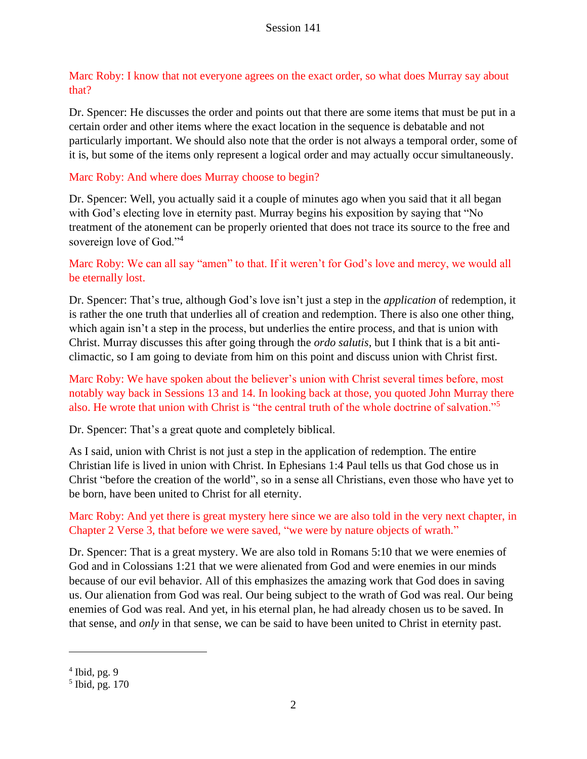Marc Roby: I know that not everyone agrees on the exact order, so what does Murray say about that?

Dr. Spencer: He discusses the order and points out that there are some items that must be put in a certain order and other items where the exact location in the sequence is debatable and not particularly important. We should also note that the order is not always a temporal order, some of it is, but some of the items only represent a logical order and may actually occur simultaneously.

# Marc Roby: And where does Murray choose to begin?

Dr. Spencer: Well, you actually said it a couple of minutes ago when you said that it all began with God's electing love in eternity past. Murray begins his exposition by saying that "No treatment of the atonement can be properly oriented that does not trace its source to the free and sovereign love of God."<sup>4</sup>

# Marc Roby: We can all say "amen" to that. If it weren't for God's love and mercy, we would all be eternally lost.

Dr. Spencer: That's true, although God's love isn't just a step in the *application* of redemption, it is rather the one truth that underlies all of creation and redemption. There is also one other thing, which again isn't a step in the process, but underlies the entire process, and that is union with Christ. Murray discusses this after going through the *ordo salutis*, but I think that is a bit anticlimactic, so I am going to deviate from him on this point and discuss union with Christ first.

# Marc Roby: We have spoken about the believer's union with Christ several times before, most notably way back in Sessions 13 and 14. In looking back at those, you quoted John Murray there also. He wrote that union with Christ is "the central truth of the whole doctrine of salvation."<sup>5</sup>

Dr. Spencer: That's a great quote and completely biblical.

As I said, union with Christ is not just a step in the application of redemption. The entire Christian life is lived in union with Christ. In Ephesians 1:4 Paul tells us that God chose us in Christ "before the creation of the world", so in a sense all Christians, even those who have yet to be born, have been united to Christ for all eternity.

Marc Roby: And yet there is great mystery here since we are also told in the very next chapter, in Chapter 2 Verse 3, that before we were saved, "we were by nature objects of wrath."

Dr. Spencer: That is a great mystery. We are also told in Romans 5:10 that we were enemies of God and in Colossians 1:21 that we were alienated from God and were enemies in our minds because of our evil behavior. All of this emphasizes the amazing work that God does in saving us. Our alienation from God was real. Our being subject to the wrath of God was real. Our being enemies of God was real. And yet, in his eternal plan, he had already chosen us to be saved. In that sense, and *only* in that sense, we can be said to have been united to Christ in eternity past.

 $4$  Ibid, pg. 9

<sup>5</sup> Ibid, pg. 170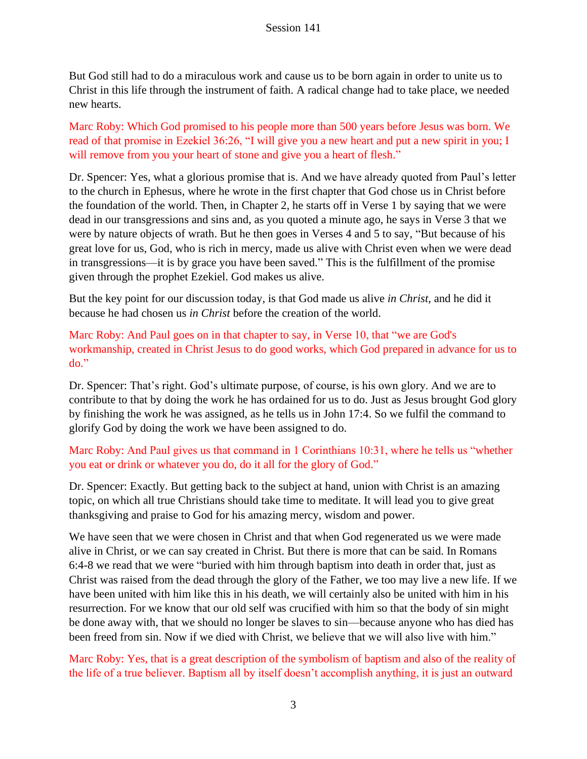But God still had to do a miraculous work and cause us to be born again in order to unite us to Christ in this life through the instrument of faith. A radical change had to take place, we needed new hearts.

Marc Roby: Which God promised to his people more than 500 years before Jesus was born. We read of that promise in Ezekiel 36:26, "I will give you a new heart and put a new spirit in you; I will remove from you your heart of stone and give you a heart of flesh."

Dr. Spencer: Yes, what a glorious promise that is. And we have already quoted from Paul's letter to the church in Ephesus, where he wrote in the first chapter that God chose us in Christ before the foundation of the world. Then, in Chapter 2, he starts off in Verse 1 by saying that we were dead in our transgressions and sins and, as you quoted a minute ago, he says in Verse 3 that we were by nature objects of wrath. But he then goes in Verses 4 and 5 to say, "But because of his great love for us, God, who is rich in mercy, made us alive with Christ even when we were dead in transgressions—it is by grace you have been saved." This is the fulfillment of the promise given through the prophet Ezekiel. God makes us alive.

But the key point for our discussion today, is that God made us alive *in Christ*, and he did it because he had chosen us *in Christ* before the creation of the world.

Marc Roby: And Paul goes on in that chapter to say, in Verse 10, that "we are God's workmanship, created in Christ Jesus to do good works, which God prepared in advance for us to do."

Dr. Spencer: That's right. God's ultimate purpose, of course, is his own glory. And we are to contribute to that by doing the work he has ordained for us to do. Just as Jesus brought God glory by finishing the work he was assigned, as he tells us in John 17:4. So we fulfil the command to glorify God by doing the work we have been assigned to do.

# Marc Roby: And Paul gives us that command in 1 Corinthians 10:31, where he tells us "whether you eat or drink or whatever you do, do it all for the glory of God."

Dr. Spencer: Exactly. But getting back to the subject at hand, union with Christ is an amazing topic, on which all true Christians should take time to meditate. It will lead you to give great thanksgiving and praise to God for his amazing mercy, wisdom and power.

We have seen that we were chosen in Christ and that when God regenerated us we were made alive in Christ, or we can say created in Christ. But there is more that can be said. In Romans 6:4-8 we read that we were "buried with him through baptism into death in order that, just as Christ was raised from the dead through the glory of the Father, we too may live a new life. If we have been united with him like this in his death, we will certainly also be united with him in his resurrection. For we know that our old self was crucified with him so that the body of sin might be done away with, that we should no longer be slaves to sin—because anyone who has died has been freed from sin. Now if we died with Christ, we believe that we will also live with him."

Marc Roby: Yes, that is a great description of the symbolism of baptism and also of the reality of the life of a true believer. Baptism all by itself doesn't accomplish anything, it is just an outward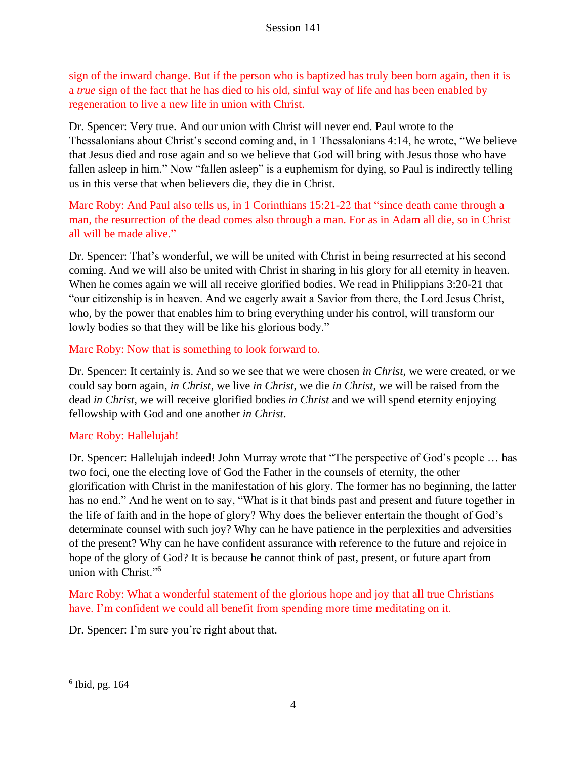sign of the inward change. But if the person who is baptized has truly been born again, then it is a *true* sign of the fact that he has died to his old, sinful way of life and has been enabled by regeneration to live a new life in union with Christ.

Dr. Spencer: Very true. And our union with Christ will never end. Paul wrote to the Thessalonians about Christ's second coming and, in 1 Thessalonians 4:14, he wrote, "We believe that Jesus died and rose again and so we believe that God will bring with Jesus those who have fallen asleep in him." Now "fallen asleep" is a euphemism for dying, so Paul is indirectly telling us in this verse that when believers die, they die in Christ.

Marc Roby: And Paul also tells us, in 1 Corinthians 15:21-22 that "since death came through a man, the resurrection of the dead comes also through a man. For as in Adam all die, so in Christ all will be made alive."

Dr. Spencer: That's wonderful, we will be united with Christ in being resurrected at his second coming. And we will also be united with Christ in sharing in his glory for all eternity in heaven. When he comes again we will all receive glorified bodies. We read in Philippians 3:20-21 that "our citizenship is in heaven. And we eagerly await a Savior from there, the Lord Jesus Christ, who, by the power that enables him to bring everything under his control, will transform our lowly bodies so that they will be like his glorious body."

### Marc Roby: Now that is something to look forward to.

Dr. Spencer: It certainly is. And so we see that we were chosen *in Christ*, we were created, or we could say born again, *in Christ*, we live *in Christ*, we die *in Christ*, we will be raised from the dead *in Christ*, we will receive glorified bodies *in Christ* and we will spend eternity enjoying fellowship with God and one another *in Christ*.

### Marc Roby: Hallelujah!

Dr. Spencer: Hallelujah indeed! John Murray wrote that "The perspective of God's people … has two foci, one the electing love of God the Father in the counsels of eternity, the other glorification with Christ in the manifestation of his glory. The former has no beginning, the latter has no end." And he went on to say, "What is it that binds past and present and future together in the life of faith and in the hope of glory? Why does the believer entertain the thought of God's determinate counsel with such joy? Why can he have patience in the perplexities and adversities of the present? Why can he have confident assurance with reference to the future and rejoice in hope of the glory of God? It is because he cannot think of past, present, or future apart from union with Christ."<sup>6</sup>

Marc Roby: What a wonderful statement of the glorious hope and joy that all true Christians have. I'm confident we could all benefit from spending more time meditating on it.

Dr. Spencer: I'm sure you're right about that.

 $6$  Ibid, pg. 164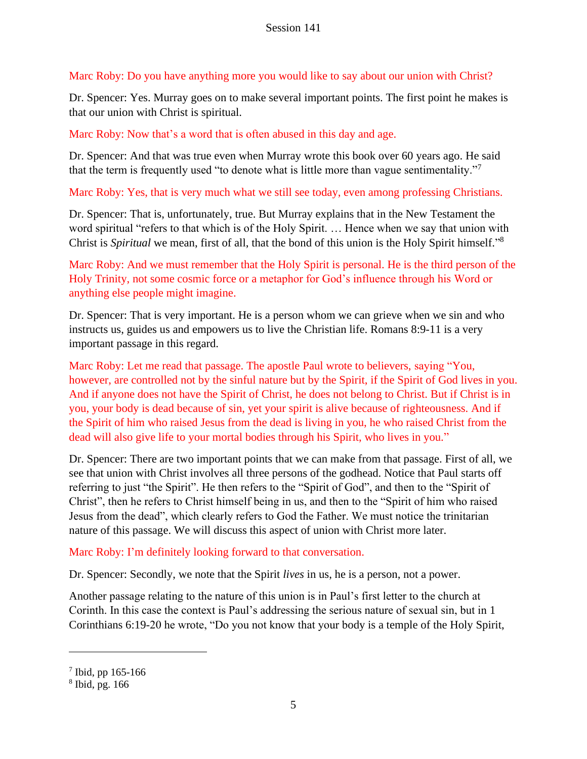# Marc Roby: Do you have anything more you would like to say about our union with Christ?

Dr. Spencer: Yes. Murray goes on to make several important points. The first point he makes is that our union with Christ is spiritual.

# Marc Roby: Now that's a word that is often abused in this day and age.

Dr. Spencer: And that was true even when Murray wrote this book over 60 years ago. He said that the term is frequently used "to denote what is little more than vague sentimentality."<sup>7</sup>

# Marc Roby: Yes, that is very much what we still see today, even among professing Christians.

Dr. Spencer: That is, unfortunately, true. But Murray explains that in the New Testament the word spiritual "refers to that which is of the Holy Spirit. … Hence when we say that union with Christ is *Spiritual* we mean, first of all, that the bond of this union is the Holy Spirit himself." 8

Marc Roby: And we must remember that the Holy Spirit is personal. He is the third person of the Holy Trinity, not some cosmic force or a metaphor for God's influence through his Word or anything else people might imagine.

Dr. Spencer: That is very important. He is a person whom we can grieve when we sin and who instructs us, guides us and empowers us to live the Christian life. Romans 8:9-11 is a very important passage in this regard.

Marc Roby: Let me read that passage. The apostle Paul wrote to believers, saying "You, however, are controlled not by the sinful nature but by the Spirit, if the Spirit of God lives in you. And if anyone does not have the Spirit of Christ, he does not belong to Christ. But if Christ is in you, your body is dead because of sin, yet your spirit is alive because of righteousness. And if the Spirit of him who raised Jesus from the dead is living in you, he who raised Christ from the dead will also give life to your mortal bodies through his Spirit, who lives in you."

Dr. Spencer: There are two important points that we can make from that passage. First of all, we see that union with Christ involves all three persons of the godhead. Notice that Paul starts off referring to just "the Spirit". He then refers to the "Spirit of God", and then to the "Spirit of Christ", then he refers to Christ himself being in us, and then to the "Spirit of him who raised Jesus from the dead", which clearly refers to God the Father. We must notice the trinitarian nature of this passage. We will discuss this aspect of union with Christ more later.

# Marc Roby: I'm definitely looking forward to that conversation.

Dr. Spencer: Secondly, we note that the Spirit *lives* in us, he is a person, not a power.

Another passage relating to the nature of this union is in Paul's first letter to the church at Corinth. In this case the context is Paul's addressing the serious nature of sexual sin, but in 1 Corinthians 6:19-20 he wrote, "Do you not know that your body is a temple of the Holy Spirit,

 $7$  Ibid, pp 165-166

<sup>8</sup> Ibid, pg. 166